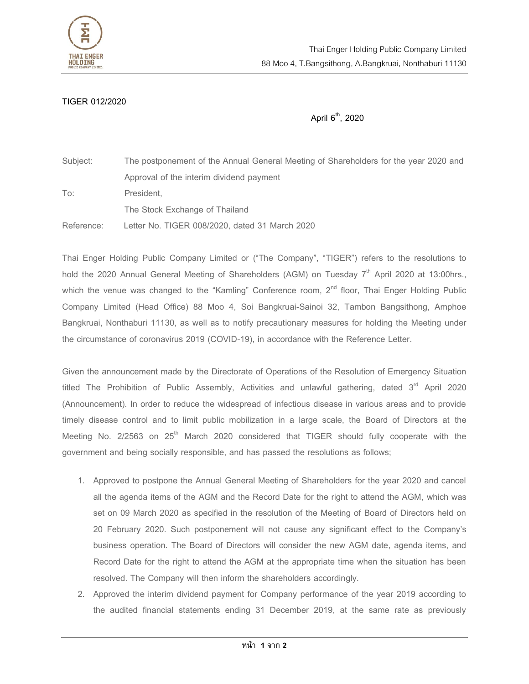

## TIGER 012/2020

April  $6<sup>th</sup>$ , 2020

Subject: The postponement of the Annual General Meeting of Shareholders for the year 2020 and Approval of the interim dividend payment To: President, The Stock Exchange of Thailand Reference: Letter No. TIGER 008/2020, dated 31 March 2020

Thai Enger Holding Public Company Limited or ("The Company", "TIGER") refers to the resolutions to hold the 2020 Annual General Meeting of Shareholders (AGM) on Tuesday  $7<sup>th</sup>$  April 2020 at 13:00hrs., which the venue was changed to the "Kamling" Conference room,  $2<sup>nd</sup>$  floor, Thai Enger Holding Public Company Limited (Head Office) 88 Moo 4, Soi Bangkruai-Sainoi 32, Tambon Bangsithong, Amphoe Bangkruai, Nonthaburi 11130, as well as to notify precautionary measures for holding the Meeting under the circumstance of coronavirus 2019 (COVID-19), in accordance with the Reference Letter.

Given the announcement made by the Directorate of Operations of the Resolution of Emergency Situation titled The Prohibition of Public Assembly, Activities and unlawful gathering, dated  $3<sup>rd</sup>$  April 2020 (Announcement). In order to reduce the widespread of infectious disease in various areas and to provide timely disease control and to limit public mobilization in a large scale, the Board of Directors at the Meeting No.  $2/2563$  on  $25<sup>th</sup>$  March 2020 considered that TIGER should fully cooperate with the government and being socially responsible, and has passed the resolutions as follows;

- 1. Approved to postpone the Annual General Meeting of Shareholders for the year 2020 and cancel all the agenda items of the AGM and the Record Date for the right to attend the AGM, which was set on 09 March 2020 as specified in the resolution of the Meeting of Board of Directors held on 20 February 2020. Such postponement will not cause any significant effect to the Company's business operation. The Board of Directors will consider the new AGM date, agenda items, and Record Date for the right to attend the AGM at the appropriate time when the situation has been resolved. The Company will then inform the shareholders accordingly.
- 2. Approved the interim dividend payment for Company performance of the year 2019 according to the audited financial statements ending 31 December 2019, at the same rate as previously